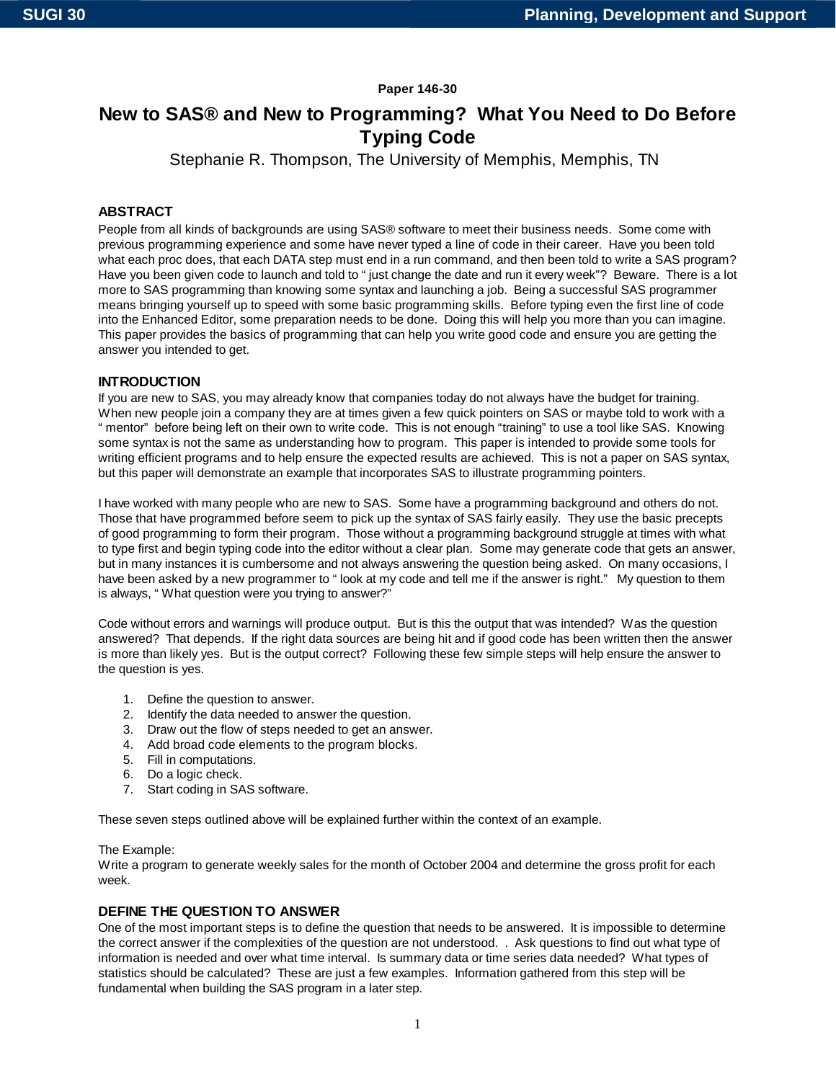### **Paper 146-30**

# **New to SAS® and New to Programming? What You Need to Do Before Typing Code**

Stephanie R. Thompson, The University of Memphis, Memphis, TN

### **ABSTRACT**

People from all kinds of backgrounds are using SAS® software to meet their business needs. Some come with previous programming experience and some have never typed a line of code in their career. Have you been told what each proc does, that each DATA step must end in a run command, and then been told to write a SAS program? Have you been given code to launch and told to "just change the date and run it every week"? Beware. There is a lot more to SAS programming than knowing some syntax and launching a job. Being a successful SAS programmer means bringing yourself up to speed with some basic programming skills. Before typing even the first line of code into the Enhanced Editor, some preparation needs to be done. Doing this will help you more than you can imagine. This paper provides the basics of programming that can help you write good code and ensure you are getting the answer you intended to get.

### **INTRODUCTION**

If you are new to SAS, you may already know that companies today do not always have the budget for training. When new people join a company they are at times given a few quick pointers on SAS or maybe told to work with a "mentor" before being left on their own to write code. This is not enough "training" to use a tool like SAS. Knowing some syntax is not the same as understanding how to program. This paper is intended to provide some tools for writing efficient programs and to help ensure the expected results are achieved. This is not a paper on SAS syntax, but this paper will demonstrate an example that incorporates SAS to illustrate programming pointers.

I have worked with many people who are new to SAS. Some have a programming background and others do not. Those that have programmed before seem to pick up the syntax of SAS fairly easily. They use the basic precepts of good programming to form their program. Those without a programming background struggle at times with what to type first and begin typing code into the editor without a clear plan. Some may generate code that gets an answer, but in many instances it is cumbersome and not always answering the question being asked. On many occasions, I have been asked by a new programmer to "look at my code and tell me if the answer is right." My question to them is always, "What question were you trying to answer?"

Code without errors and warnings will produce output. But is this the output that was intended? Was the question answered? That depends. If the right data sources are being hit and if good code has been written then the answer is more than likely yes. But is the output correct? Following these few simple steps will help ensure the answer to the question is yes.

- 1. Define the question to answer.
- 2. Identify the data needed to answer the question.
- 3. Draw out the flow of steps needed to get an answer.
- 4. Add broad code elements to the program blocks.
- 5. Fill in computations.
- 6. Do a logic check.
- 7. Start coding in SAS software.

These seven steps outlined above will be explained further within the context of an example.

#### The Example:

Write a program to generate weekly sales for the month of October 2004 and determine the gross profit for each week.

### **DEFINE THE QUESTION TO ANSWER**

One of the most important steps is to define the question that needs to be answered. It is impossible to determine the correct answer if the complexities of the question are not understood. . Ask questions to find out what type of information is needed and over what time interval. Is summary data or time series data needed? What types of statistics should be calculated? These are just a few examples. Information gathered from this step will be fundamental when building the SAS program in a later step.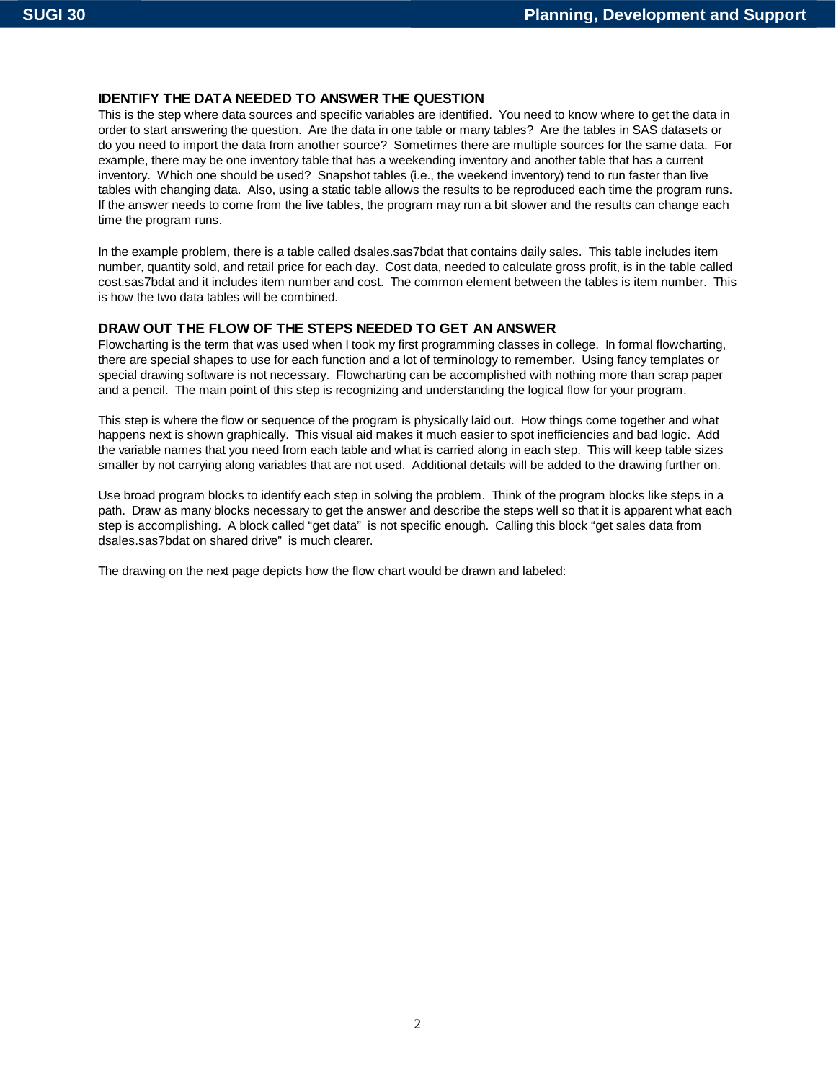## **IDENTIFY THE DATA NEEDED TO ANSWER THE QUESTION**

This is the step where data sources and specific variables are identified. You need to know where to get the data in order to start answering the question. Are the data in one table or many tables? Are the tables in SAS datasets or do you need to import the data from another source? Sometimes there are multiple sources for the same data. For example, there may be one inventory table that has a weekending inventory and another table that has a current inventory. Which one should be used? Snapshot tables (i.e., the weekend inventory) tend to run faster than live tables with changing data. Also, using a static table allows the results to be reproduced each time the program runs. If the answer needs to come from the live tables, the program may run a bit slower and the results can change each time the program runs.

In the example problem, there is a table called dsales.sas7bdat that contains daily sales. This table includes item number, quantity sold, and retail price for each day. Cost data, needed to calculate gross profit, is in the table called cost.sas7bdat and it includes item number and cost. The common element between the tables is item number. This is how the two data tables will be combined.

### **DRAW OUT THE FLOW OF THE STEPS NEEDED TO GET AN ANSWER**

Flowcharting is the term that was used when I took my first programming classes in college. In formal flowcharting, there are special shapes to use for each function and a lot of terminology to remember. Using fancy templates or special drawing software is not necessary. Flowcharting can be accomplished with nothing more than scrap paper and a pencil. The main point of this step is recognizing and understanding the logical flow for your program.

This step is where the flow or sequence of the program is physically laid out. How things come together and what happens next is shown graphically. This visual aid makes it much easier to spot inefficiencies and bad logic. Add the variable names that you need from each table and what is carried along in each step. This will keep table sizes smaller by not carrying along variables that are not used. Additional details will be added to the drawing further on.

Use broad program blocks to identify each step in solving the problem. Think of the program blocks like steps in a path. Draw as many blocks necessary to get the answer and describe the steps well so that it is apparent what each step is accomplishing. A block called "get data" is not specific enough. Calling this block "get sales data from dsales.sas7bdat on shared drive" is much clearer.

The drawing on the next page depicts how the flow chart would be drawn and labeled: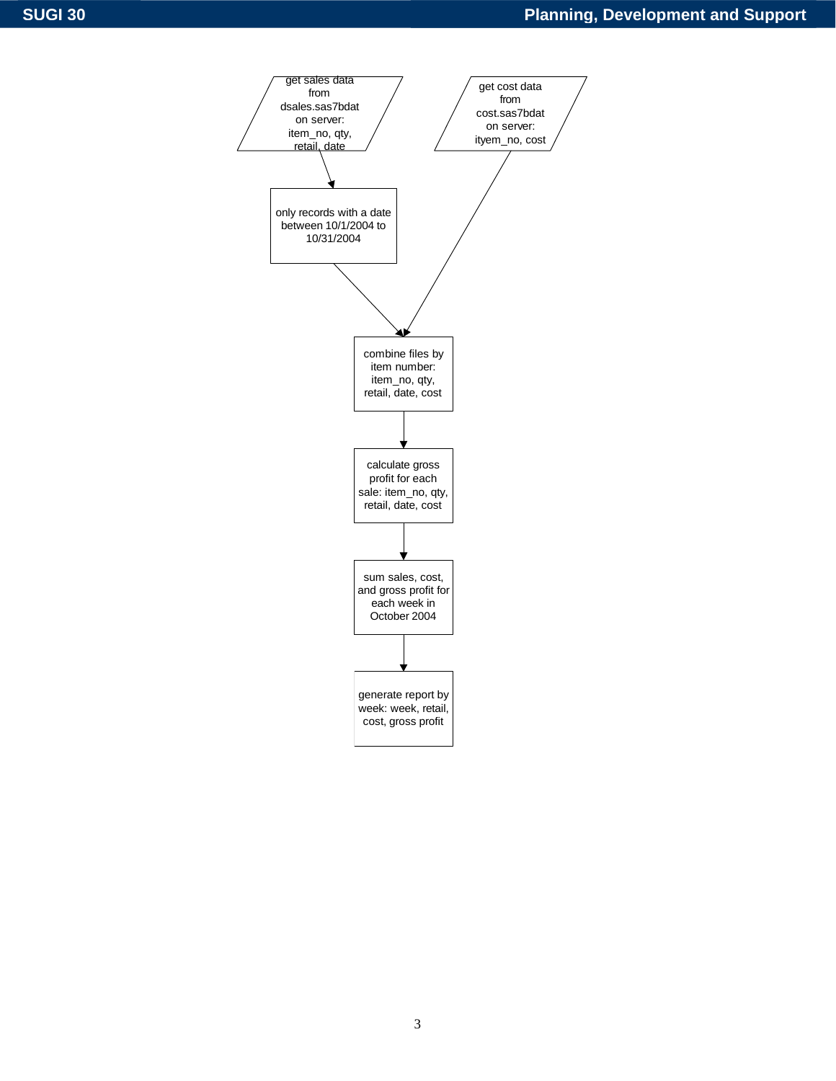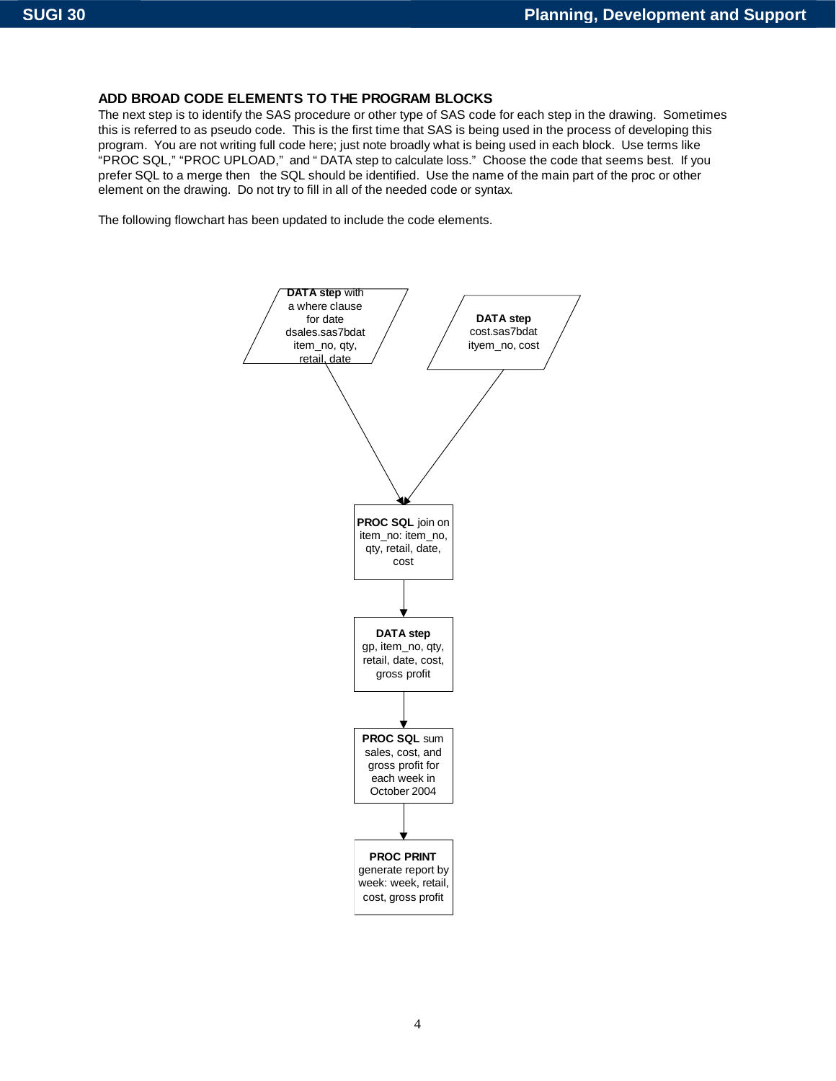## **ADD BROAD CODE ELEMENTS TO THE PROGRAM BLOCKS**

The next step is to identify the SAS procedure or other type of SAS code for each step in the drawing. Sometimes this is referred to as pseudo code. This is the first time that SAS is being used in the process of developing this program. You are not writing full code here; just note broadly what is being used in each block. Use terms like "PROC SQL," "PROC UPLOAD," and "DATA step to calculate loss." Choose the code that seems best. If you prefer SQL to a merge then the SQL should be identified. Use the name of the main part of the proc or other element on the drawing. Do not try to fill in all of the needed code or syntax.

The following flowchart has been updated to include the code elements.

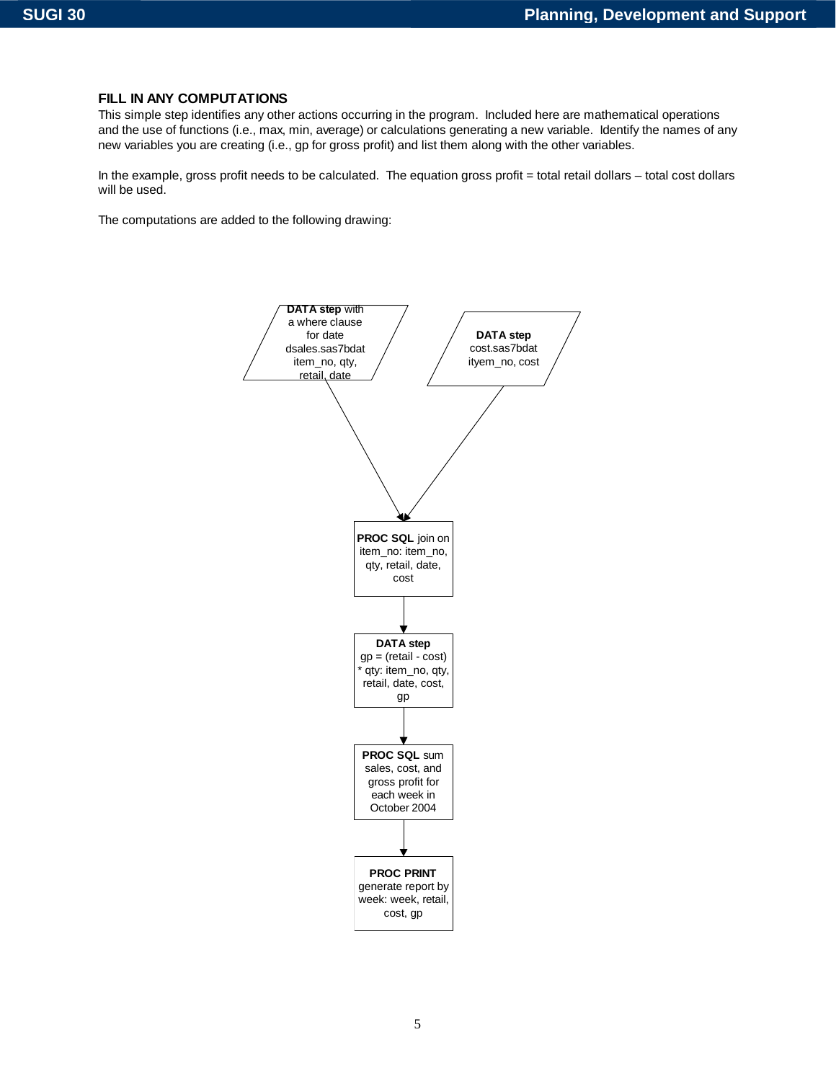### **FILL IN ANY COMPUTATIONS**

This simple step identifies any other actions occurring in the program. Included here are mathematical operations and the use of functions (i.e., max, min, average) or calculations generating a new variable. Identify the names of any new variables you are creating (i.e., gp for gross profit) and list them along with the other variables.

In the example, gross profit needs to be calculated. The equation gross profit = total retail dollars – total cost dollars will be used.

The computations are added to the following drawing: